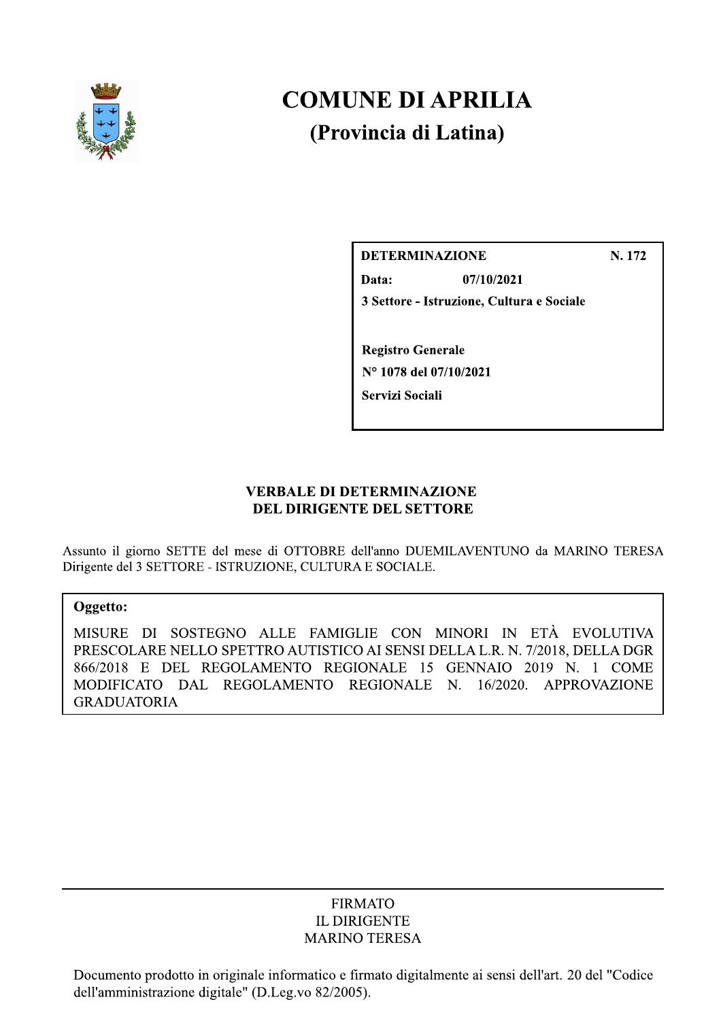

# **COMUNE DI APRILIA** (Provincia di Latina)

N. 172

Data: 07/10/2021 3 Settore - Istruzione, Cultura e Sociale

**Registro Generale** N° 1078 del 07/10/2021 Servizi Sociali

**DETERMINAZIONE** 

# **VERBALE DI DETERMINAZIONE** DEL DIRIGENTE DEL SETTORE

Assunto il giorno SETTE del mese di OTTOBRE dell'anno DUEMILAVENTUNO da MARINO TERESA Dirigente del 3 SETTORE - ISTRUZIONE, CULTURA E SOCIALE.

## Oggetto:

MISURE DI SOSTEGNO ALLE FAMIGLIE CON MINORI IN ETÀ EVOLUTIVA PRESCOLARE NELLO SPETTRO AUTISTICO AI SENSI DELLA L.R. N. 7/2018, DELLA DGR 866/2018 E DEL REGOLAMENTO REGIONALE 15 GENNAIO 2019 N. 1 COME MODIFICATO DAL REGOLAMENTO REGIONALE N. 16/2020. APPROVAZIONE **GRADUATORIA** 

## **FIRMATO IL DIRIGENTE MARINO TERESA**

Documento prodotto in originale informatico e firmato digitalmente ai sensi dell'art. 20 del "Codice dell'amministrazione digitale" (D.Leg.vo 82/2005).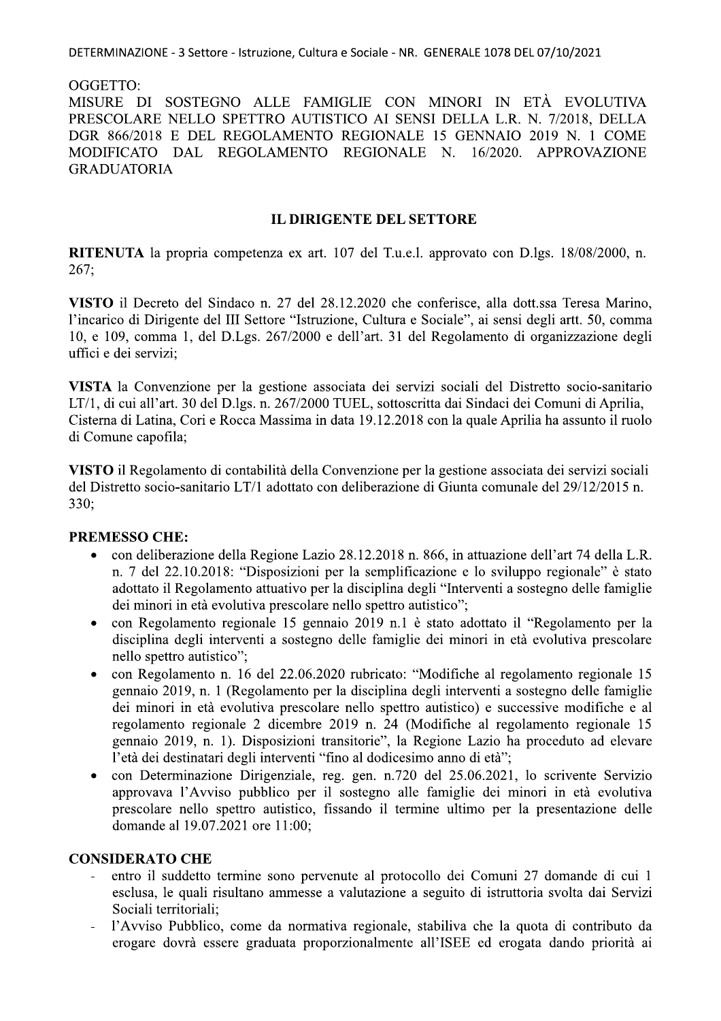DETERMINAZIONE - 3 Settore - Istruzione, Cultura e Sociale - NR. GENERALE 1078 DEL 07/10/2021

OGGETTO:

MISURE DI SOSTEGNO ALLE FAMIGLIE CON MINORI IN ETÀ EVOLUTIVA PRESCOLARE NELLO SPETTRO AUTISTICO AI SENSI DELLA L.R. N. 7/2018, DELLA DGR 866/2018 E DEL REGOLAMENTO REGIONALE 15 GENNAIO 2019 N. 1 COME MODIFICATO DAL REGOLAMENTO REGIONALE N. 16/2020. APPROVAZIONE **GRADUATORIA** 

## **IL DIRIGENTE DEL SETTORE**

RITENUTA la propria competenza ex art. 107 del T.u.e.l. approvato con D.lgs. 18/08/2000, n.  $267;$ 

VISTO il Decreto del Sindaco n. 27 del 28.12.2020 che conferisce, alla dott.ssa Teresa Marino, l'incarico di Dirigente del III Settore "Istruzione, Cultura e Sociale", ai sensi degli artt. 50, comma 10, e 109, comma 1, del D.Lgs. 267/2000 e dell'art. 31 del Regolamento di organizzazione degli uffici e dei servizi;

VISTA la Convenzione per la gestione associata dei servizi sociali del Distretto socio-sanitario LT/1, di cui all'art. 30 del D.lgs. n. 267/2000 TUEL, sottoscritta dai Sindaci dei Comuni di Aprilia, Cisterna di Latina, Cori e Rocca Massima in data 19.12.2018 con la quale Aprilia ha assunto il ruolo di Comune capofila;

VISTO il Regolamento di contabilità della Convenzione per la gestione associata dei servizi sociali del Distretto socio-sanitario LT/1 adottato con deliberazione di Giunta comunale del 29/12/2015 n. 330:

### **PREMESSO CHE:**

- con deliberazione della Regione Lazio 28.12.2018 n. 866, in attuazione dell'art 74 della L.R. n. 7 del 22.10.2018: "Disposizioni per la semplificazione e lo sviluppo regionale" è stato adottato il Regolamento attuativo per la disciplina degli "Interventi a sostegno delle famiglie dei minori in età evolutiva prescolare nello spettro autistico":
- con Regolamento regionale 15 gennaio 2019 n.1 è stato adottato il "Regolamento per la disciplina degli interventi a sostegno delle famiglie dei minori in età evolutiva prescolare nello spettro autistico";
- con Regolamento n. 16 del 22.06.2020 rubricato: "Modifiche al regolamento regionale 15  $\bullet$ gennaio 2019, n. 1 (Regolamento per la disciplina degli interventi a sostegno delle famiglie dei minori in età evolutiva prescolare nello spettro autistico) e successive modifiche e al regolamento regionale 2 dicembre 2019 n. 24 (Modifiche al regolamento regionale 15 gennaio 2019, n. 1). Disposizioni transitorie", la Regione Lazio ha proceduto ad elevare l'età dei destinatari degli interventi "fino al dodicesimo anno di età";
- con Determinazione Dirigenziale, reg. gen. n.720 del 25.06.2021, lo scrivente Servizio approvava l'Avviso pubblico per il sostegno alle famiglie dei minori in età evolutiva prescolare nello spettro autistico, fissando il termine ultimo per la presentazione delle domande al 19.07.2021 ore 11:00;

## **CONSIDERATO CHE**

- entro il suddetto termine sono pervenute al protocollo dei Comuni 27 domande di cui 1 esclusa, le quali risultano ammesse a valutazione a seguito di istruttoria svolta dai Servizi Sociali territoriali:
- l'Avviso Pubblico, come da normativa regionale, stabiliva che la quota di contributo da erogare dovrà essere graduata proporzionalmente all'ISEE ed erogata dando priorità ai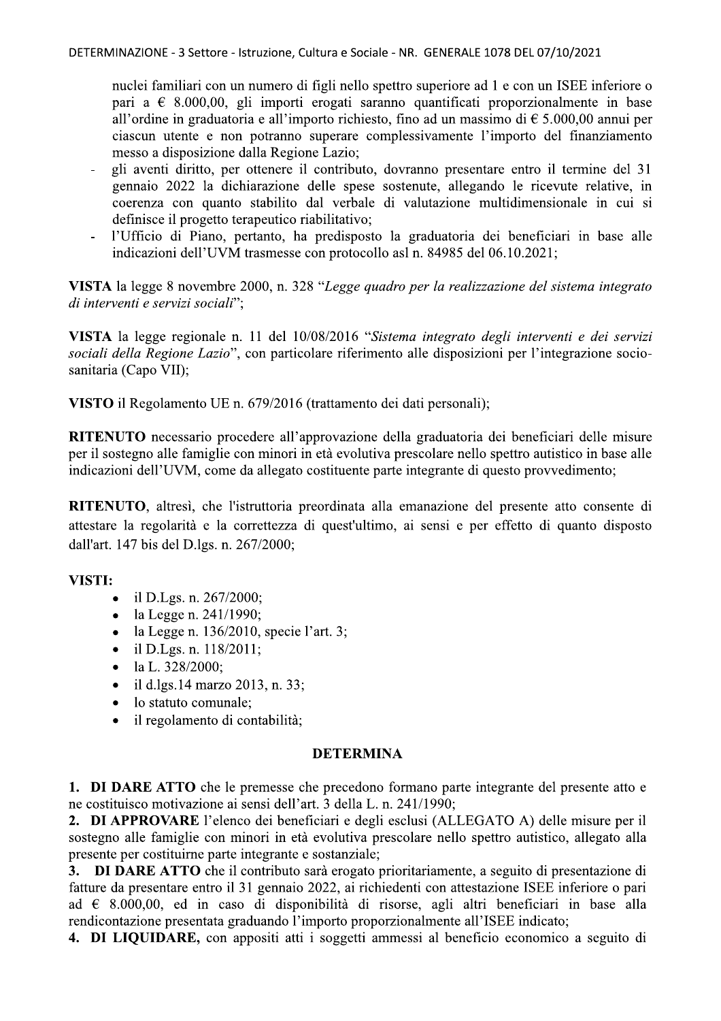DETERMINAZIONE - 3 Settore - Istruzione, Cultura e Sociale - NR. GENERALE 1078 DEL 07/10/2021

nuclei familiari con un numero di figli nello spettro superiore ad 1 e con un ISEE inferiore o pari a  $\epsilon$  8.000,00, gli importi erogati saranno quantificati proporzionalmente in base all'ordine in graduatoria e all'importo richiesto, fino ad un massimo di  $\epsilon$  5.000,00 annui per ciascun utente e non potranno superare complessivamente l'importo del finanziamento messo a disposizione dalla Regione Lazio;

- gli aventi diritto, per ottenere il contributo, dovranno presentare entro il termine del 31 gennaio 2022 la dichiarazione delle spese sostenute, allegando le ricevute relative, in coerenza con quanto stabilito dal verbale di valutazione multidimensionale in cui si definisce il progetto terapeutico riabilitativo:
- l'Ufficio di Piano, pertanto, ha predisposto la graduatoria dei beneficiari in base alle indicazioni dell'UVM trasmesse con protocollo asl n. 84985 del 06.10.2021;

VISTA la legge 8 novembre 2000, n. 328 "Legge quadro per la realizzazione del sistema integrato di interventi e servizi sociali":

VISTA la legge regionale n. 11 del 10/08/2016 "Sistema integrato degli interventi e dei servizi sociali della Regione Lazio", con particolare riferimento alle disposizioni per l'integrazione sociosanitaria (Capo VII);

VISTO il Regolamento UE n. 679/2016 (trattamento dei dati personali);

RITENUTO necessario procedere all'approvazione della graduatoria dei beneficiari delle misure per il sostegno alle famiglie con minori in età evolutiva prescolare nello spettro autistico in base alle indicazioni dell'UVM, come da allegato costituente parte integrante di questo provvedimento;

**RITENUTO**, altresì, che l'istruttoria preordinata alla emanazione del presente atto consente di attestare la regolarità e la correttezza di quest'ultimo, ai sensi e per effetto di quanto disposto dall'art. 147 bis del D.lgs. n. 267/2000;

## VISTI:

- il D.Lgs. n. 267/2000;  $\bullet$
- la Legge n. 241/1990;  $\bullet$
- la Legge n. 136/2010, specie l'art. 3;
- il D.Lgs. n. 118/2011;  $\bullet$
- la L. 328/2000;
- il d.lgs.14 marzo 2013, n. 33;
- lo statuto comunale;
- il regolamento di contabilità;

### **DETERMINA**

1. DI DARE ATTO che le premesse che precedono formano parte integrante del presente atto e ne costituisco motivazione ai sensi dell'art. 3 della L. n. 241/1990;

2. DI APPROVARE l'elenco dei beneficiari e degli esclusi (ALLEGATO A) delle misure per il sostegno alle famiglie con minori in età evolutiva prescolare nello spettro autistico, allegato alla presente per costituirne parte integrante e sostanziale;

3. DI DARE ATTO che il contributo sarà erogato prioritariamente, a seguito di presentazione di fatture da presentare entro il 31 gennaio 2022, ai richiedenti con attestazione ISEE inferiore o pari ad  $\epsilon$  8.000,00, ed in caso di disponibilità di risorse, agli altri beneficiari in base alla rendicontazione presentata graduando l'importo proporzionalmente all'ISEE indicato;

4. DI LIQUIDARE, con appositi atti i soggetti ammessi al beneficio economico a seguito di